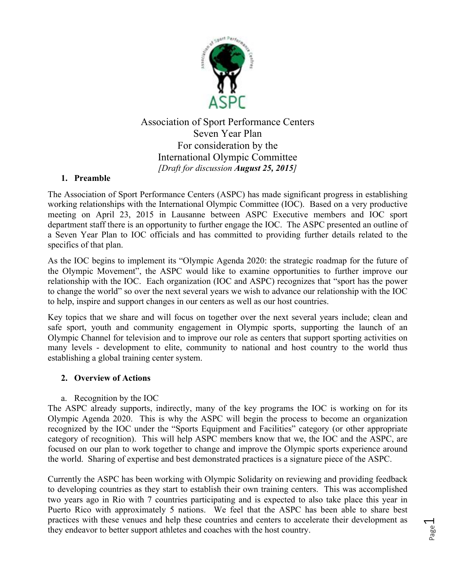

# Association of Sport Performance Centers Seven Year Plan For consideration by the International Olympic Committee *[Draft for discussion August 25, 2015]*

## **1. Preamble**

The Association of Sport Performance Centers (ASPC) has made significant progress in establishing working relationships with the International Olympic Committee (IOC). Based on a very productive meeting on April 23, 2015 in Lausanne between ASPC Executive members and IOC sport department staff there is an opportunity to further engage the IOC. The ASPC presented an outline of a Seven Year Plan to IOC officials and has committed to providing further details related to the specifics of that plan.

As the IOC begins to implement its "Olympic Agenda 2020: the strategic roadmap for the future of the Olympic Movement", the ASPC would like to examine opportunities to further improve our relationship with the IOC. Each organization (IOC and ASPC) recognizes that "sport has the power to change the world" so over the next several years we wish to advance our relationship with the IOC to help, inspire and support changes in our centers as well as our host countries.

Key topics that we share and will focus on together over the next several years include; clean and safe sport, youth and community engagement in Olympic sports, supporting the launch of an Olympic Channel for television and to improve our role as centers that support sporting activities on many levels - development to elite, community to national and host country to the world thus establishing a global training center system.

### **2. Overview of Actions**

a. Recognition by the IOC

The ASPC already supports, indirectly, many of the key programs the IOC is working on for its Olympic Agenda 2020. This is why the ASPC will begin the process to become an organization recognized by the IOC under the "Sports Equipment and Facilities" category (or other appropriate category of recognition). This will help ASPC members know that we, the IOC and the ASPC, are focused on our plan to work together to change and improve the Olympic sports experience around the world. Sharing of expertise and best demonstrated practices is a signature piece of the ASPC.

Currently the ASPC has been working with Olympic Solidarity on reviewing and providing feedback to developing countries as they start to establish their own training centers. This was accomplished two years ago in Rio with 7 countries participating and is expected to also take place this year in Puerto Rico with approximately 5 nations. We feel that the ASPC has been able to share best practices with these venues and help these countries and centers to accelerate their development as they endeavor to better support athletes and coaches with the host country.

Page  $\overline{\phantom{0}}$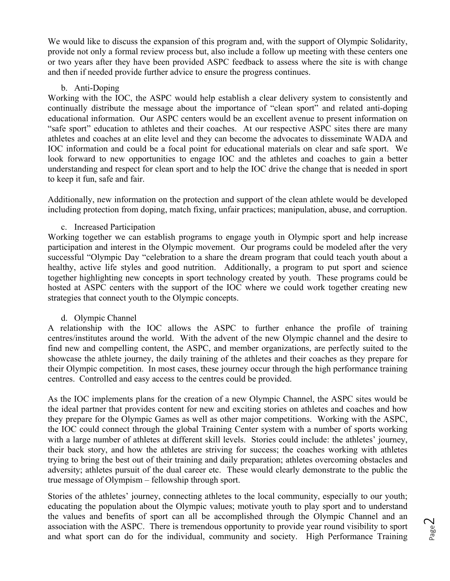We would like to discuss the expansion of this program and, with the support of Olympic Solidarity, provide not only a formal review process but, also include a follow up meeting with these centers one or two years after they have been provided ASPC feedback to assess where the site is with change and then if needed provide further advice to ensure the progress continues.

#### b. Anti-Doping

Working with the IOC, the ASPC would help establish a clear delivery system to consistently and continually distribute the message about the importance of "clean sport" and related anti-doping educational information. Our ASPC centers would be an excellent avenue to present information on "safe sport" education to athletes and their coaches. At our respective ASPC sites there are many athletes and coaches at an elite level and they can become the advocates to disseminate WADA and IOC information and could be a focal point for educational materials on clear and safe sport. We look forward to new opportunities to engage IOC and the athletes and coaches to gain a better understanding and respect for clean sport and to help the IOC drive the change that is needed in sport to keep it fun, safe and fair.

Additionally, new information on the protection and support of the clean athlete would be developed including protection from doping, match fixing, unfair practices; manipulation, abuse, and corruption.

### c. Increased Participation

Working together we can establish programs to engage youth in Olympic sport and help increase participation and interest in the Olympic movement. Our programs could be modeled after the very successful "Olympic Day "celebration to a share the dream program that could teach youth about a healthy, active life styles and good nutrition. Additionally, a program to put sport and science together highlighting new concepts in sport technology created by youth. These programs could be hosted at ASPC centers with the support of the IOC where we could work together creating new strategies that connect youth to the Olympic concepts.

### d. Olympic Channel

A relationship with the IOC allows the ASPC to further enhance the profile of training centres/institutes around the world. With the advent of the new Olympic channel and the desire to find new and compelling content, the ASPC, and member organizations, are perfectly suited to the showcase the athlete journey, the daily training of the athletes and their coaches as they prepare for their Olympic competition. In most cases, these journey occur through the high performance training centres. Controlled and easy access to the centres could be provided.

As the IOC implements plans for the creation of a new Olympic Channel, the ASPC sites would be the ideal partner that provides content for new and exciting stories on athletes and coaches and how they prepare for the Olympic Games as well as other major competitions. Working with the ASPC, the IOC could connect through the global Training Center system with a number of sports working with a large number of athletes at different skill levels. Stories could include: the athletes' journey, their back story, and how the athletes are striving for success; the coaches working with athletes trying to bring the best out of their training and daily preparation; athletes overcoming obstacles and adversity; athletes pursuit of the dual career etc. These would clearly demonstrate to the public the true message of Olympism – fellowship through sport.

Stories of the athletes' journey, connecting athletes to the local community, especially to our youth; educating the population about the Olympic values; motivate youth to play sport and to understand the values and benefits of sport can all be accomplished through the Olympic Channel and an association with the ASPC. There is tremendous opportunity to provide year round visibility to sport and what sport can do for the individual, community and society. High Performance Training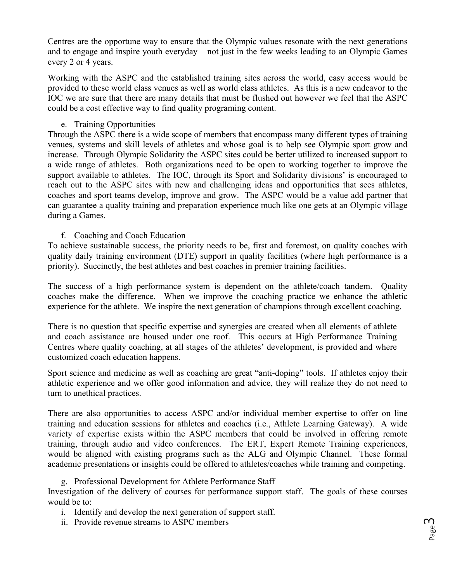Centres are the opportune way to ensure that the Olympic values resonate with the next generations and to engage and inspire youth everyday – not just in the few weeks leading to an Olympic Games every 2 or 4 years.

Working with the ASPC and the established training sites across the world, easy access would be provided to these world class venues as well as world class athletes. As this is a new endeavor to the IOC we are sure that there are many details that must be flushed out however we feel that the ASPC could be a cost effective way to find quality programing content.

e. Training Opportunities

Through the ASPC there is a wide scope of members that encompass many different types of training venues, systems and skill levels of athletes and whose goal is to help see Olympic sport grow and increase. Through Olympic Solidarity the ASPC sites could be better utilized to increased support to a wide range of athletes. Both organizations need to be open to working together to improve the support available to athletes. The IOC, through its Sport and Solidarity divisions' is encouraged to reach out to the ASPC sites with new and challenging ideas and opportunities that sees athletes, coaches and sport teams develop, improve and grow. The ASPC would be a value add partner that can guarantee a quality training and preparation experience much like one gets at an Olympic village during a Games.

### f. Coaching and Coach Education

To achieve sustainable success, the priority needs to be, first and foremost, on quality coaches with quality daily training environment (DTE) support in quality facilities (where high performance is a priority). Succinctly, the best athletes and best coaches in premier training facilities.

The success of a high performance system is dependent on the athlete/coach tandem. Quality coaches make the difference. When we improve the coaching practice we enhance the athletic experience for the athlete. We inspire the next generation of champions through excellent coaching.

There is no question that specific expertise and synergies are created when all elements of athlete and coach assistance are housed under one roof. This occurs at High Performance Training Centres where quality coaching, at all stages of the athletes' development, is provided and where customized coach education happens.

Sport science and medicine as well as coaching are great "anti-doping" tools. If athletes enjoy their athletic experience and we offer good information and advice, they will realize they do not need to turn to unethical practices.

There are also opportunities to access ASPC and/or individual member expertise to offer on line training and education sessions for athletes and coaches (i.e., Athlete Learning Gateway). A wide variety of expertise exists within the ASPC members that could be involved in offering remote training, through audio and video conferences. The ERT, Expert Remote Training experiences, would be aligned with existing programs such as the ALG and Olympic Channel. These formal academic presentations or insights could be offered to athletes/coaches while training and competing.

g. Professional Development for Athlete Performance Staff

Investigation of the delivery of courses for performance support staff. The goals of these courses would be to:

- i. Identify and develop the next generation of support staff.
- ii. Provide revenue streams to ASPC members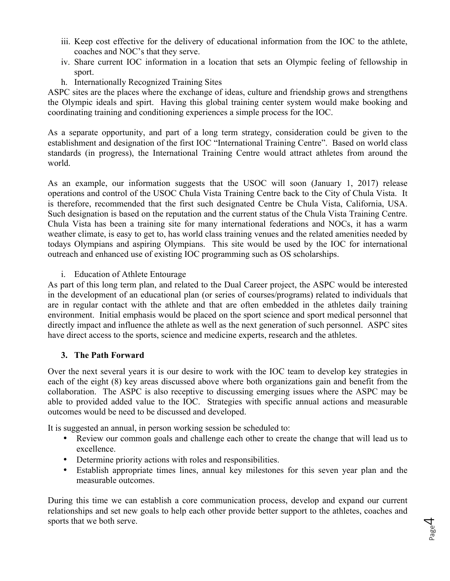- iii. Keep cost effective for the delivery of educational information from the IOC to the athlete, coaches and NOC's that they serve.
- iv. Share current IOC information in a location that sets an Olympic feeling of fellowship in sport.
- h. Internationally Recognized Training Sites

ASPC sites are the places where the exchange of ideas, culture and friendship grows and strengthens the Olympic ideals and spirt. Having this global training center system would make booking and coordinating training and conditioning experiences a simple process for the IOC.

As a separate opportunity, and part of a long term strategy, consideration could be given to the establishment and designation of the first IOC "International Training Centre". Based on world class standards (in progress), the International Training Centre would attract athletes from around the world.

As an example, our information suggests that the USOC will soon (January 1, 2017) release operations and control of the USOC Chula Vista Training Centre back to the City of Chula Vista. It is therefore, recommended that the first such designated Centre be Chula Vista, California, USA. Such designation is based on the reputation and the current status of the Chula Vista Training Centre. Chula Vista has been a training site for many international federations and NOCs, it has a warm weather climate, is easy to get to, has world class training venues and the related amenities needed by todays Olympians and aspiring Olympians. This site would be used by the IOC for international outreach and enhanced use of existing IOC programming such as OS scholarships.

i. Education of Athlete Entourage

As part of this long term plan, and related to the Dual Career project, the ASPC would be interested in the development of an educational plan (or series of courses/programs) related to individuals that are in regular contact with the athlete and that are often embedded in the athletes daily training environment. Initial emphasis would be placed on the sport science and sport medical personnel that directly impact and influence the athlete as well as the next generation of such personnel. ASPC sites have direct access to the sports, science and medicine experts, research and the athletes.

### **3. The Path Forward**

Over the next several years it is our desire to work with the IOC team to develop key strategies in each of the eight (8) key areas discussed above where both organizations gain and benefit from the collaboration. The ASPC is also receptive to discussing emerging issues where the ASPC may be able to provided added value to the IOC. Strategies with specific annual actions and measurable outcomes would be need to be discussed and developed.

It is suggested an annual, in person working session be scheduled to:

- Review our common goals and challenge each other to create the change that will lead us to excellence.
- Determine priority actions with roles and responsibilities.
- Establish appropriate times lines, annual key milestones for this seven year plan and the measurable outcomes.

During this time we can establish a core communication process, develop and expand our current relationships and set new goals to help each other provide better support to the athletes, coaches and sports that we both serve.